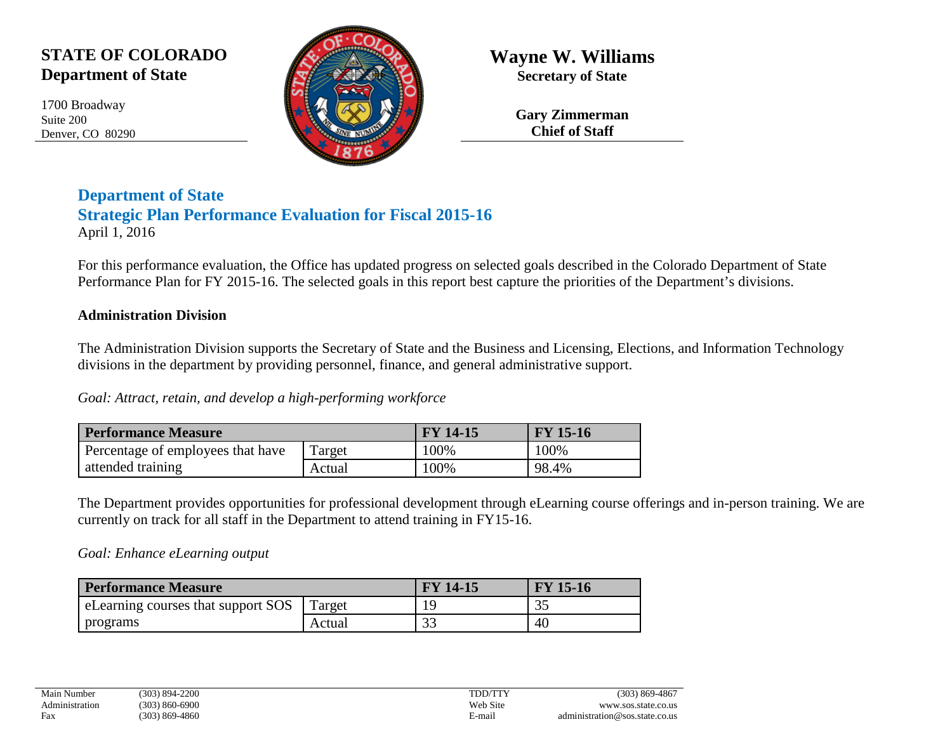# **STATE OF COLORADO Department of State**

1700 Broadway Suite 200 Denver, CO 80290



**Wayne W. Williams Secretary of State**

> **Gary Zimmerman Chief of Staff**

## **Department of State Strategic Plan Performance Evaluation for Fiscal 2015-16** April 1, 2016

For this performance evaluation, the Office has updated progress on selected goals described in the Colorado Department of State Performance Plan for FY 2015-16. The selected goals in this report best capture the priorities of the Department's divisions.

### **Administration Division**

The Administration Division supports the Secretary of State and the Business and Licensing, Elections, and Information Technology divisions in the department by providing personnel, finance, and general administrative support.

*Goal: Attract, retain, and develop a high-performing workforce*

| <b>Performance Measure</b>        |        | <b>FY 14-15</b> | <b>FY 15-16</b> |
|-----------------------------------|--------|-----------------|-----------------|
| Percentage of employees that have | Target | 100%            | 100%            |
| attended training                 | Actual | 100%            | 98.4%           |

The Department provides opportunities for professional development through eLearning course offerings and in-person training. We are currently on track for all staff in the Department to attend training in FY15-16.

#### *Goal: Enhance eLearning output*

| <b>Performance Measure</b>         |        | <b>FY 14-15</b> | <b>FY 15-16</b> |
|------------------------------------|--------|-----------------|-----------------|
| eLearning courses that support SOS | Target |                 | ید ک            |
| programs                           | Actual | 33              | 40              |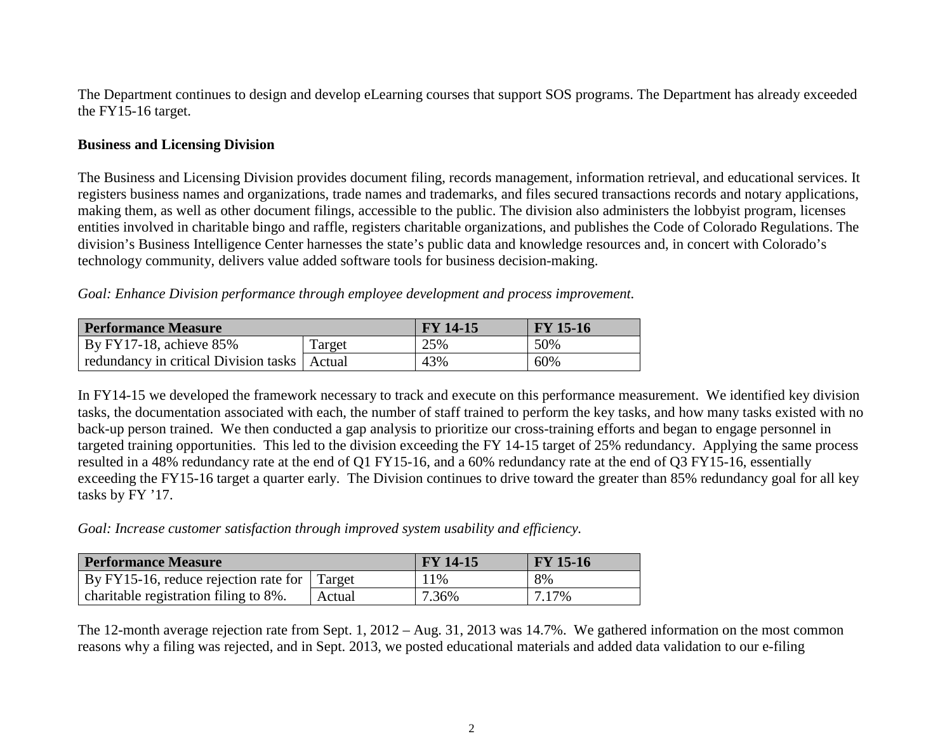The Department continues to design and develop eLearning courses that support SOS programs. The Department has already exceeded the FY15-16 target.

#### **Business and Licensing Division**

The Business and Licensing Division provides document filing, records management, information retrieval, and educational services. It registers business names and organizations, trade names and trademarks, and files secured transactions records and notary applications, making them, as well as other document filings, accessible to the public. The division also administers the lobbyist program, licenses entities involved in charitable bingo and raffle, registers charitable organizations, and publishes the Code of Colorado Regulations. The division's Business Intelligence Center harnesses the state's public data and knowledge resources and, in concert with Colorado's technology community, delivers value added software tools for business decision-making.

*Goal: Enhance Division performance through employee development and process improvement.*

| <b>Performance Measure</b>                     |        | <b>FY 14-15</b> | <b>FY</b> 15-16 |
|------------------------------------------------|--------|-----------------|-----------------|
| By FY17-18, achieve $85\%$                     | Target | 25%             | 50%             |
| redundancy in critical Division tasks   Actual |        | 43%             | 60%             |

In FY14-15 we developed the framework necessary to track and execute on this performance measurement. We identified key division tasks, the documentation associated with each, the number of staff trained to perform the key tasks, and how many tasks existed with no back-up person trained. We then conducted a gap analysis to prioritize our cross-training efforts and began to engage personnel in targeted training opportunities. This led to the division exceeding the FY 14-15 target of 25% redundancy. Applying the same process resulted in a 48% redundancy rate at the end of Q1 FY15-16, and a 60% redundancy rate at the end of Q3 FY15-16, essentially exceeding the FY15-16 target a quarter early. The Division continues to drive toward the greater than 85% redundancy goal for all key tasks by FY '17.

*Goal: Increase customer satisfaction through improved system usability and efficiency.*

| Performance Measure                          |        | <b>FY 14-15</b> | <b>FY</b> 15-16 |
|----------------------------------------------|--------|-----------------|-----------------|
| By FY15-16, reduce rejection rate for Target |        | 1%              | 8%              |
| charitable registration filing to 8%.        | Actual | 7.36%           | 7.17%           |

The 12-month average rejection rate from Sept. 1, 2012 – Aug. 31, 2013 was 14.7%. We gathered information on the most common reasons why a filing was rejected, and in Sept. 2013, we posted educational materials and added data validation to our e-filing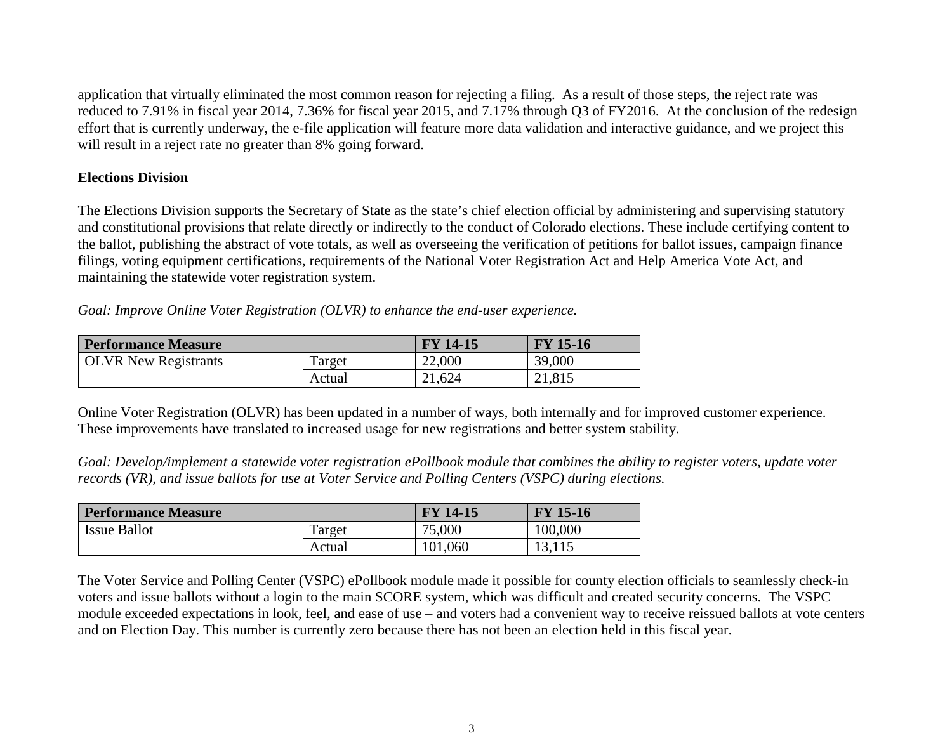application that virtually eliminated the most common reason for rejecting a filing. As a result of those steps, the reject rate was reduced to 7.91% in fiscal year 2014, 7.36% for fiscal year 2015, and 7.17% through Q3 of FY2016. At the conclusion of the redesign effort that is currently underway, the e-file application will feature more data validation and interactive guidance, and we project this will result in a reject rate no greater than 8% going forward.

#### **Elections Division**

The Elections Division supports the Secretary of State as the state's chief election official by administering and supervising statutory and constitutional provisions that relate directly or indirectly to the conduct of Colorado elections. These include certifying content to the ballot, publishing the abstract of vote totals, as well as overseeing the verification of petitions for ballot issues, campaign finance filings, voting equipment certifications, requirements of the National Voter Registration Act and Help America Vote Act, and maintaining the statewide voter registration system.

*Goal: Improve Online Voter Registration (OLVR) to enhance the end-user experience.*

| <b>Performance Measure</b>  |        | <b>FY 14-15</b> | <b>FY</b> 15-16 |
|-----------------------------|--------|-----------------|-----------------|
| <b>OLVR</b> New Registrants | Target | 22,000          | 39,000          |
|                             | Actual | 21,624          | 21,815          |

Online Voter Registration (OLVR) has been updated in a number of ways, both internally and for improved customer experience. These improvements have translated to increased usage for new registrations and better system stability.

*Goal: Develop/implement a statewide voter registration ePollbook module that combines the ability to register voters, update voter records (VR), and issue ballots for use at Voter Service and Polling Centers (VSPC) during elections.*

| <b>Performance Measure</b> |        | <b>FY 14-15</b> | <b>FY 15-16</b> |
|----------------------------|--------|-----------------|-----------------|
| <b>Issue Ballot</b>        | Target | 75,000          | 100,000         |
|                            | Actual | 101,060         | 13,115          |

The Voter Service and Polling Center (VSPC) ePollbook module made it possible for county election officials to seamlessly check-in voters and issue ballots without a login to the main SCORE system, which was difficult and created security concerns. The VSPC module exceeded expectations in look, feel, and ease of use – and voters had a convenient way to receive reissued ballots at vote centers and on Election Day. This number is currently zero because there has not been an election held in this fiscal year.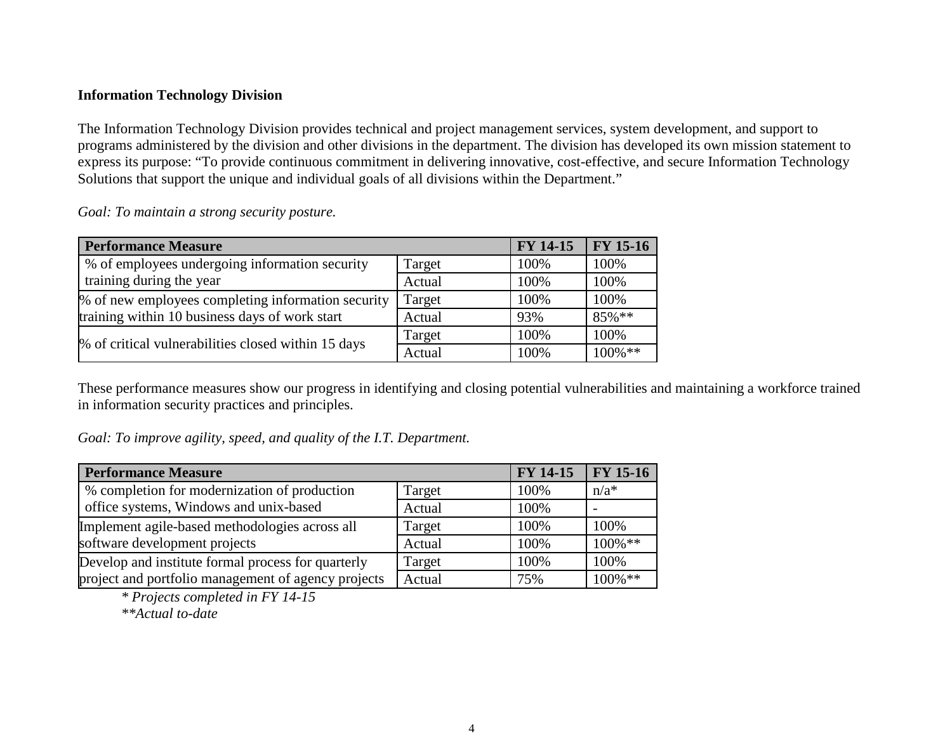#### **Information Technology Division**

The Information Technology Division provides technical and project management services, system development, and support to programs administered by the division and other divisions in the department. The division has developed its own mission statement to express its purpose: "To provide continuous commitment in delivering innovative, cost-effective, and secure Information Technology Solutions that support the unique and individual goals of all divisions within the Department."

*Goal: To maintain a strong security posture.*

| <b>Performance Measure</b>                          |        | <b>FY 14-15</b> | <b>FY 15-16</b> |
|-----------------------------------------------------|--------|-----------------|-----------------|
| % of employees undergoing information security      | Target | 100%            | 100%            |
| training during the year                            | Actual | 100%            | 100%            |
| % of new employees completing information security  | Target | 100%            | 100%            |
| training within 10 business days of work start      | Actual | 93%             | 85%**           |
| % of critical vulnerabilities closed within 15 days | Target | 100%            | 100%            |
|                                                     | Actual | 100%            | $100\%$ **      |

These performance measures show our progress in identifying and closing potential vulnerabilities and maintaining a workforce trained in information security practices and principles.

*Goal: To improve agility, speed, and quality of the I.T. Department.*

| <b>Performance Measure</b>                          |        | FY 14-15 | <b>FY 15-16</b> |
|-----------------------------------------------------|--------|----------|-----------------|
| % completion for modernization of production        | Target | 100%     | $n/a^*$         |
| office systems, Windows and unix-based              | Actual | 100%     |                 |
| Implement agile-based methodologies across all      | Target | 100%     | 100%            |
| software development projects                       | Actual | 100%     | $100\%$ **      |
| Develop and institute formal process for quarterly  | Target | 100%     | 100%            |
| project and portfolio management of agency projects | Actual | 75%      | $100\%$ **      |

*\* Projects completed in FY 14-15*

*\*\*Actual to-date*